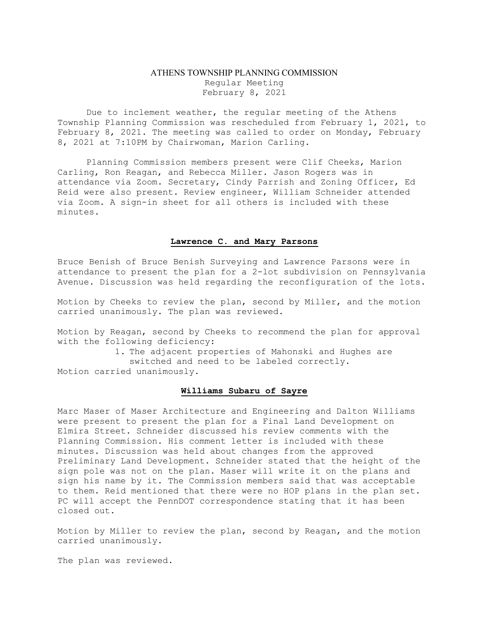## ATHENS TOWNSHIP PLANNING COMMISSION Regular Meeting February 8, 2021

Due to inclement weather, the regular meeting of the Athens Township Planning Commission was rescheduled from February 1, 2021, to February 8, 2021. The meeting was called to order on Monday, February 8, 2021 at 7:10PM by Chairwoman, Marion Carling.

Planning Commission members present were Clif Cheeks, Marion Carling, Ron Reagan, and Rebecca Miller. Jason Rogers was in attendance via Zoom. Secretary, Cindy Parrish and Zoning Officer, Ed Reid were also present. Review engineer, William Schneider attended via Zoom. A sign-in sheet for all others is included with these minutes.

## Lawrence C. and Mary Parsons

Bruce Benish of Bruce Benish Surveying and Lawrence Parsons were in attendance to present the plan for a 2-lot subdivision on Pennsylvania Avenue. Discussion was held regarding the reconfiguration of the lots.

Motion by Cheeks to review the plan, second by Miller, and the motion carried unanimously. The plan was reviewed.

Motion by Reagan, second by Cheeks to recommend the plan for approval with the following deficiency:

1. The adjacent properties of Mahonski and Hughes are switched and need to be labeled correctly. Motion carried unanimously.

## Williams Subaru of Sayre

Marc Maser of Maser Architecture and Engineering and Dalton Williams were present to present the plan for a Final Land Development on Elmira Street. Schneider discussed his review comments with the Planning Commission. His comment letter is included with these minutes. Discussion was held about changes from the approved Preliminary Land Development. Schneider stated that the height of the sign pole was not on the plan. Maser will write it on the plans and sign his name by it. The Commission members said that was acceptable to them. Reid mentioned that there were no HOP plans in the plan set. PC will accept the PennDOT correspondence stating that it has been closed out.

Motion by Miller to review the plan, second by Reagan, and the motion carried unanimously.

The plan was reviewed.